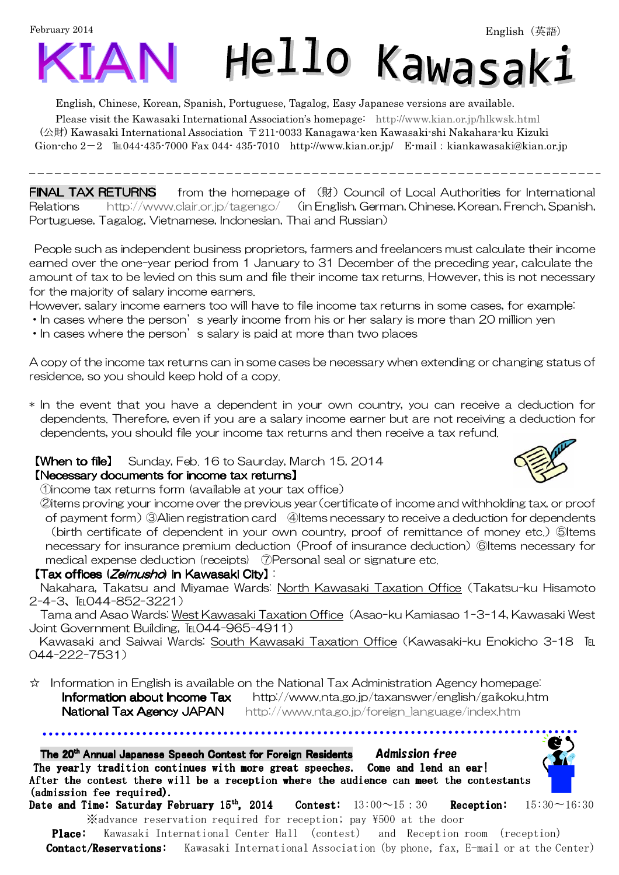February 2014

 $\overline{a}$ 



English, Chinese, Korean, Spanish, Portuguese, Tagalog, Easy Japanese versions are available.

Please visit the Kawasaki International Association's homepage: [http://www.kian.or.jp/hlkwsk.html](http://www.kian.or.jp/hlkwsk.shtml) (公財) Kawasaki International Association 〒211-0033 Kanagawa-ken Kawasaki-shi Nakahara-ku Kizuki Gion-cho  $2-2$  
Eu044-435-7000 Fax 044-435-7010 <http://www.kian.or.jp/> E-mail: [kiankawasaki@kian.or.jp](mailto:kiankawasaki@kian.or.jp)

**FINAL TAX RETURNS** from the homepage of (財) Council of Local Authorities for International Relations <http://www.clair.or.jp/tagengo/>(in English, German, Chinese, Korean, French, Spanish, Portuguese, Tagalog, Vietnamese, Indonesian, Thai and Russian)

 People such as independent business proprietors, farmers and freelancers must calculate their income earned over the one-year period from 1 January to 31 December of the preceding year, calculate the amount of tax to be levied on this sum and file their income tax returns. However, this is not necessary for the majority of salary income earners.

However, salary income earners too will have to file income tax returns in some cases, for example:

- In cases where the person's yearly income from his or her salary is more than 20 million yen
- In cases where the person's salary is paid at more than two places

A copy of the income tax returns can in some cases be necessary when extending or changing status of residence, so you should keep hold of a copy.

\* In the event that you have a dependent in your own country, you can receive a deduction for dependents. Therefore, even if you are a salary income earner but are not receiving a deduction for dependents, you should file your income tax returns and then receive a tax refund.

### **[When to file]** Sunday, Feb. 16 to Saurday, March 15, 2014

### 【Necessary documents for income tax returns 【Necessary income tax returnsNecessary returns】

①income tax returns form (available at your tax office)

②items proving your income over the previous year(certificate of income and withholding tax, or proof of payment form)③Alien registration card ④Items necessary to receive a deduction for dependents (birth certificate of dependent in your own country, proof of remittance of money etc.) ⑤Items necessary for insurance premium deduction (Proof of insurance deduction) ⑥Items necessary for medical expense deduction (receipts) ⑦Personal seal or signature etc.

### 【Tax offices (Zeimusho) in Kawasaki City】 i

Nakahara, Takatsu and Miyamae Wards: North Kawasaki Taxation Office(Takatsu-ku Hisamoto 2-4-3、℡044-852-3221)

Tama and Asao Wards: West Kawasaki Taxation Office (Asao-ku Kamiasao 1-3-14, Kawasaki West Joint Government Building, TEL044-965-4911)

Kawasaki and Saiwai Wards: South Kawasaki Taxation Office (Kawasaki-ku Enokicho 3-18 IEL 044-222-7531)

☆ Information in English is available on the National Tax Administration Agency homepage:

**Information about Income Tax** http://www.nta.go.jp/taxanswer/english/gaikoku.htm **National Tax Agency JAPAN** [http://www.nta.go.jp/foreign\\_language/index.htm](http://www.nta.go.jp/foreign_language/index.htm)

The 20<sup>th</sup> Annual Japanese Speech Contest for Foreign Residents Admission free The yearly tradition continues with more great speeches. Come and lend an ear! After the contest there will be a reception where the audience can meet the contestants (admission fee required).

Date and Time: Saturday February 15<sup>th</sup>, 2014 Contest:  $13:00~15:30$  Reception:  $15:30~16:30$ ※advance reservation required for reception; pay \500 at the door

**Place:** Kawasaki International Center Hall (contest) and Reception room (reception) Contact/Reservations: Kawasaki International Association (by phone, fax, E-mail or at the Center)